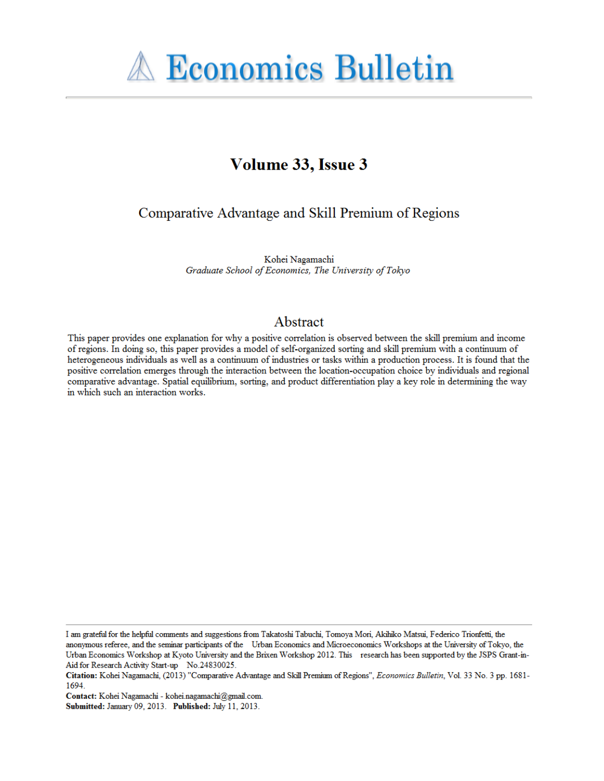

# Volume 33, Issue 3

# Comparative Advantage and Skill Premium of Regions

Kohei Nagamachi Graduate School of Economics, The University of Tokyo

# Abstract

This paper provides one explanation for why a positive correlation is observed between the skill premium and income of regions. In doing so, this paper provides a model of self-organized sorting and skill premium with a continuum of heterogeneous individuals as well as a continuum of industries or tasks within a production process. It is found that the positive correlation emerges through the interaction between the location-occupation choice by individuals and regional comparative advantage. Spatial equilibrium, sorting, and product differentiation play a key role in determining the way in which such an interaction works.

I am grateful for the helpful comments and suggestions from Takatoshi Tabuchi, Tomoya Mori, Akihiko Matsui, Federico Trionfetti, the anonymous referee, and the seminar participants of the Urban Economics and Microeconomics Workshops at the University of Tokyo, the Urban Economics Workshop at Kyoto University and the Brixen Workshop 2012. This research has been supported by the JSPS Grant-in-Aid for Research Activity Start-up No.24830025.

Citation: Kohei Nagamachi, (2013) "Comparative Advantage and Skill Premium of Regions", Economics Bulletin, Vol. 33 No. 3 pp. 1681-1694.

Contact: Kohei Nagamachi - kohei.nagamachi@gmail.com.

Submitted: January 09, 2013. Published: July 11, 2013.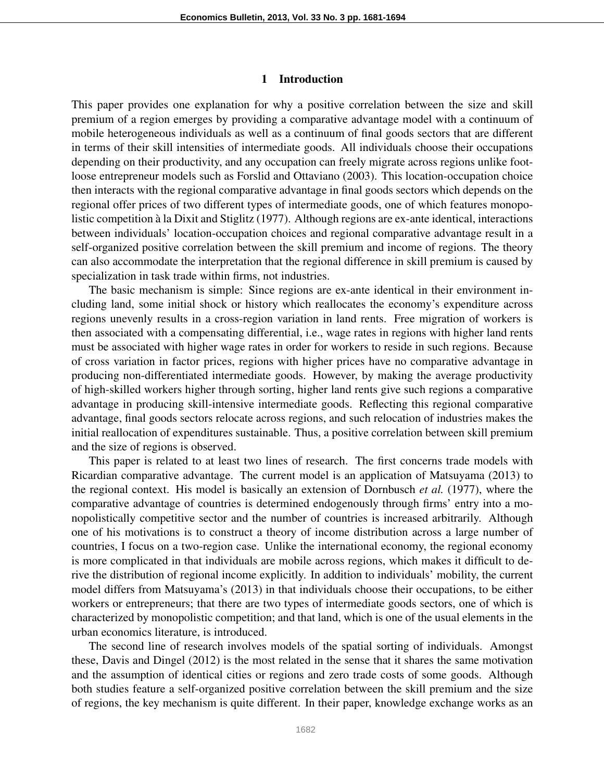#### 1 Introduction

This paper provides one explanation for why a positive correlation between the size and skill premium of a region emerges by providing a comparative advantage model with a continuum of mobile heterogeneous individuals as well as a continuum of final goods sectors that are different in terms of their skill intensities of intermediate goods. All individuals choose their occupations depending on their productivity, and any occupation can freely migrate across regions unlike footloose entrepreneur models such as Forslid and Ottaviano (2003). This location-occupation choice then interacts with the regional comparative advantage in final goods sectors which depends on the regional offer prices of two different types of intermediate goods, one of which features monopolistic competition à la Dixit and Stiglitz (1977). Although regions are ex-ante identical, interactions between individuals' location-occupation choices and regional comparative advantage result in a self-organized positive correlation between the skill premium and income of regions. The theory can also accommodate the interpretation that the regional difference in skill premium is caused by specialization in task trade within firms, not industries.

The basic mechanism is simple: Since regions are ex-ante identical in their environment including land, some initial shock or history which reallocates the economy's expenditure across regions unevenly results in a cross-region variation in land rents. Free migration of workers is then associated with a compensating differential, i.e., wage rates in regions with higher land rents must be associated with higher wage rates in order for workers to reside in such regions. Because of cross variation in factor prices, regions with higher prices have no comparative advantage in producing non-differentiated intermediate goods. However, by making the average productivity of high-skilled workers higher through sorting, higher land rents give such regions a comparative advantage in producing skill-intensive intermediate goods. Reflecting this regional comparative advantage, final goods sectors relocate across regions, and such relocation of industries makes the initial reallocation of expenditures sustainable. Thus, a positive correlation between skill premium and the size of regions is observed.

This paper is related to at least two lines of research. The first concerns trade models with Ricardian comparative advantage. The current model is an application of Matsuyama (2013) to the regional context. His model is basically an extension of Dornbusch *et al.* (1977), where the comparative advantage of countries is determined endogenously through firms' entry into a monopolistically competitive sector and the number of countries is increased arbitrarily. Although one of his motivations is to construct a theory of income distribution across a large number of countries, I focus on a two-region case. Unlike the international economy, the regional economy is more complicated in that individuals are mobile across regions, which makes it difficult to derive the distribution of regional income explicitly. In addition to individuals' mobility, the current model differs from Matsuyama's (2013) in that individuals choose their occupations, to be either workers or entrepreneurs; that there are two types of intermediate goods sectors, one of which is characterized by monopolistic competition; and that land, which is one of the usual elements in the urban economics literature, is introduced.

The second line of research involves models of the spatial sorting of individuals. Amongst these, Davis and Dingel (2012) is the most related in the sense that it shares the same motivation and the assumption of identical cities or regions and zero trade costs of some goods. Although both studies feature a self-organized positive correlation between the skill premium and the size of regions, the key mechanism is quite different. In their paper, knowledge exchange works as an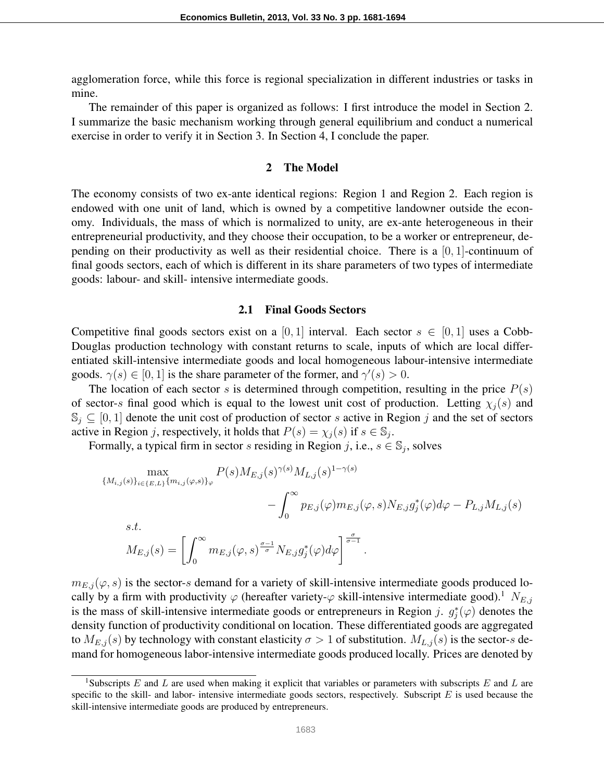agglomeration force, while this force is regional specialization in different industries or tasks in mine.

The remainder of this paper is organized as follows: I first introduce the model in Section 2. I summarize the basic mechanism working through general equilibrium and conduct a numerical exercise in order to verify it in Section 3. In Section 4, I conclude the paper.

# 2 The Model

The economy consists of two ex-ante identical regions: Region 1 and Region 2. Each region is endowed with one unit of land, which is owned by a competitive landowner outside the economy. Individuals, the mass of which is normalized to unity, are ex-ante heterogeneous in their entrepreneurial productivity, and they choose their occupation, to be a worker or entrepreneur, depending on their productivity as well as their residential choice. There is a [0*,* 1]-continuum of final goods sectors, each of which is different in its share parameters of two types of intermediate goods: labour- and skill- intensive intermediate goods.

# 2.1 Final Goods Sectors

Competitive final goods sectors exist on a [0, 1] interval. Each sector  $s \in [0,1]$  uses a Cobb-Douglas production technology with constant returns to scale, inputs of which are local differentiated skill-intensive intermediate goods and local homogeneous labour-intensive intermediate goods.  $\gamma(s) \in [0, 1]$  is the share parameter of the former, and  $\gamma'(s) > 0$ .

The location of each sector *s* is determined through competition, resulting in the price  $P(s)$ of sector-*s* final good which is equal to the lowest unit cost of production. Letting  $\chi_i(s)$  and S*<sup>j</sup> ⊆* [0*,* 1] denote the unit cost of production of sector *s* active in Region *j* and the set of sectors active in Region *j*, respectively, it holds that  $P(s) = \chi_j(s)$  if  $s \in \mathbb{S}_j$ .

Formally, a typical firm in sector *s* residing in Region *j*, i.e.,  $s \in \mathbb{S}_j$ , solves

$$
\max_{\{M_{i,j}(s)\}_{i\in\{E,L\}}\{m_{i,j}(\varphi,s)\}_{\varphi}} P(s) M_{E,j}(s)^{\gamma(s)} M_{L,j}(s)^{1-\gamma(s)} - \int_0^\infty p_{E,j}(\varphi) m_{E,j}(\varphi, s) N_{E,j} g_j^*(\varphi) d\varphi - P_{L,j} M_{L,j}(s) s.t.
$$

$$
M_{E,j}(s) = \left[ \int_0^\infty m_{E,j}(\varphi, s)^{\frac{\sigma-1}{\sigma}} N_{E,j} g_j^*(\varphi) d\varphi \right]^{\frac{\sigma}{\sigma-1}}.
$$

 $m_{E,i}(\varphi, s)$  is the sector-*s* demand for a variety of skill-intensive intermediate goods produced locally by a firm with productivity  $\varphi$  (hereafter variety- $\varphi$  skill-intensive intermediate good).<sup>1</sup> *N*<sub>*E,j*</sub> is the mass of skill-intensive intermediate goods or entrepreneurs in Region *j*.  $g_j^*(\varphi)$  denotes the density function of productivity conditional on location. These differentiated goods are aggregated to  $M_{E,j}(s)$  by technology with constant elasticity  $\sigma > 1$  of substitution.  $M_{L,j}(s)$  is the sector-*s* demand for homogeneous labor-intensive intermediate goods produced locally. Prices are denoted by

<sup>1</sup>Subscripts *E* and *L* are used when making it explicit that variables or parameters with subscripts *E* and *L* are specific to the skill- and labor- intensive intermediate goods sectors, respectively. Subscript *E* is used because the skill-intensive intermediate goods are produced by entrepreneurs.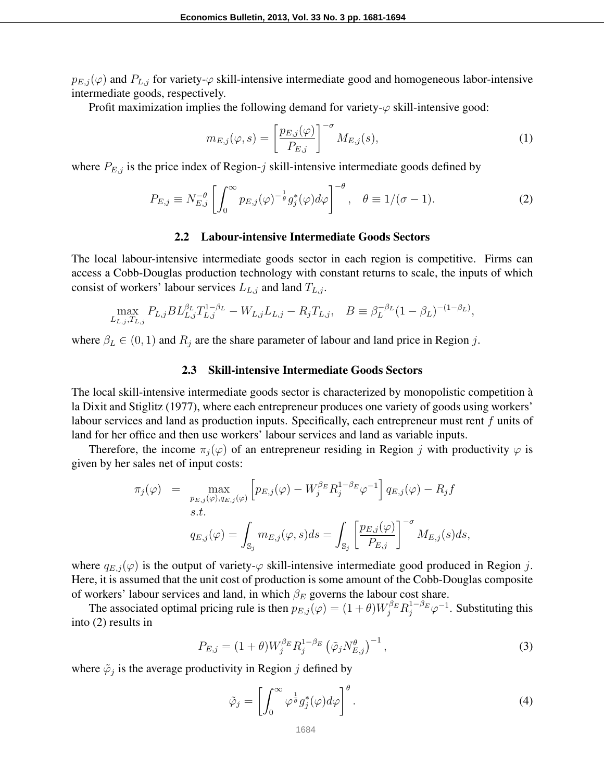$p_{E,j}(\varphi)$  and  $P_{L,j}$  for variety- $\varphi$  skill-intensive intermediate good and homogeneous labor-intensive intermediate goods, respectively.

Profit maximization implies the following demand for variety-*φ* skill-intensive good:

$$
m_{E,j}(\varphi, s) = \left[\frac{p_{E,j}(\varphi)}{P_{E,j}}\right]^{-\sigma} M_{E,j}(s),\tag{1}
$$

where *PE,j* is the price index of Region-*j* skill-intensive intermediate goods defined by

$$
P_{E,j} \equiv N_{E,j}^{-\theta} \left[ \int_0^\infty p_{E,j}(\varphi)^{-\frac{1}{\theta}} g_j^*(\varphi) d\varphi \right]^{-\theta}, \quad \theta \equiv 1/(\sigma - 1). \tag{2}
$$

#### 2.2 Labour-intensive Intermediate Goods Sectors

The local labour-intensive intermediate goods sector in each region is competitive. Firms can access a Cobb-Douglas production technology with constant returns to scale, the inputs of which consist of workers' labour services  $L_{L,j}$  and land  $T_{L,j}$ .

$$
\max_{L_{L,j},T_{L,j}} P_{L,j} BL_{L,j}^{\beta_L} T_{L,j}^{1-\beta_L} - W_{L,j} L_{L,j} - R_j T_{L,j}, \quad B \equiv \beta_L^{-\beta_L} (1 - \beta_L)^{-(1 - \beta_L)},
$$

where  $\beta_L \in (0,1)$  and  $R_j$  are the share parameter of labour and land price in Region *j*.

## 2.3 Skill-intensive Intermediate Goods Sectors

The local skill-intensive intermediate goods sector is characterized by monopolistic competition a` la Dixit and Stiglitz (1977), where each entrepreneur produces one variety of goods using workers' labour services and land as production inputs. Specifically, each entrepreneur must rent *f* units of land for her office and then use workers' labour services and land as variable inputs.

Therefore, the income  $\pi_j(\varphi)$  of an entrepreneur residing in Region *j* with productivity  $\varphi$  is given by her sales net of input costs:

$$
\pi_j(\varphi) = \max_{\substack{p_{E,j}(\varphi), q_{E,j}(\varphi) \\ s.t.}} \left[ p_{E,j}(\varphi) - W_j^{\beta_E} R_j^{1-\beta_E} \varphi^{-1} \right] q_{E,j}(\varphi) - R_j f
$$
  

$$
g_{E,j}(\varphi) = \int_{\mathbb{S}_j} m_{E,j}(\varphi, s) ds = \int_{\mathbb{S}_j} \left[ \frac{p_{E,j}(\varphi)}{P_{E,j}} \right]^{-\sigma} M_{E,j}(s) ds,
$$

where  $q_{E,j}(\varphi)$  is the output of variety- $\varphi$  skill-intensive intermediate good produced in Region *j*. Here, it is assumed that the unit cost of production is some amount of the Cobb-Douglas composite of workers' labour services and land, in which *β<sup>E</sup>* governs the labour cost share.

The associated optimal pricing rule is then  $p_{E,j}(\varphi) = (1+\theta)W_j^{\beta_E}R_j^{1-\beta_E}\varphi^{-1}$ . Substituting this into (2) results in

$$
P_{E,j} = (1+\theta)W_j^{\beta_E} R_j^{1-\beta_E} (\tilde{\varphi}_j N_{E,j}^{\theta})^{-1},
$$
\n(3)

where  $\tilde{\varphi}_j$  is the average productivity in Region *j* defined by

$$
\tilde{\varphi}_j = \left[ \int_0^\infty \varphi^{\frac{1}{\theta}} g_j^*(\varphi) d\varphi \right]^\theta.
$$
\n(4)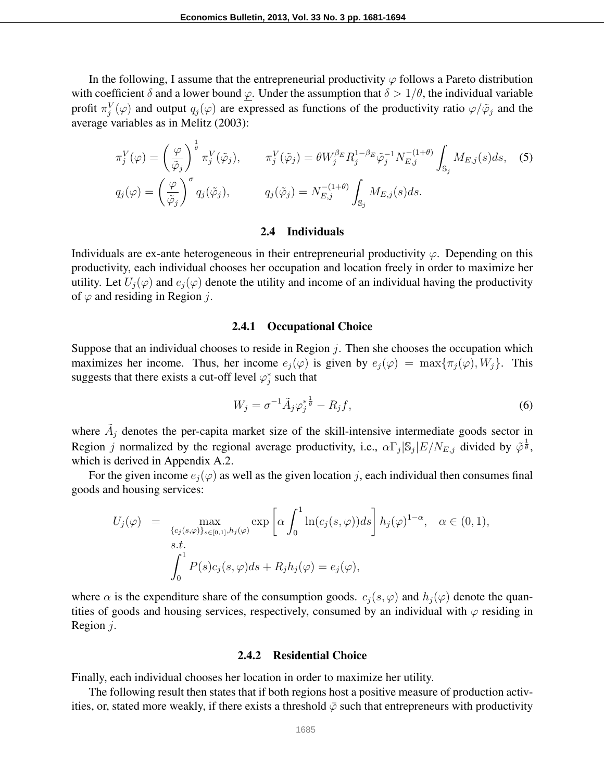In the following, I assume that the entrepreneurial productivity  $\varphi$  follows a Pareto distribution with coefficient  $\delta$  and a lower bound  $\varphi$ . Under the assumption that  $\delta > 1/\theta$ , the individual variable profit  $\pi_j^V(\varphi)$  and output  $q_j(\varphi)$  are expressed as functions of the productivity ratio  $\varphi/\tilde{\varphi}_j$  and the average variables as in Melitz (2003):

$$
\pi_j^V(\varphi) = \left(\frac{\varphi}{\tilde{\varphi}_j}\right)^{\frac{1}{\theta}} \pi_j^V(\tilde{\varphi}_j), \qquad \pi_j^V(\tilde{\varphi}_j) = \theta W_j^{\beta_E} R_j^{1-\beta_E} \tilde{\varphi}_j^{-1} N_{E,j}^{-(1+\theta)} \int_{\mathbb{S}_j} M_{E,j}(s) ds, \quad (5)
$$

$$
q_j(\varphi) = \left(\frac{\varphi}{\tilde{\varphi}_j}\right)^{\sigma} q_j(\tilde{\varphi}_j), \qquad q_j(\tilde{\varphi}_j) = N_{E,j}^{-(1+\theta)} \int_{\mathbb{S}_j} M_{E,j}(s) ds.
$$

#### 2.4 Individuals

Individuals are ex-ante heterogeneous in their entrepreneurial productivity *φ*. Depending on this productivity, each individual chooses her occupation and location freely in order to maximize her utility. Let  $U_i(\varphi)$  and  $e_i(\varphi)$  denote the utility and income of an individual having the productivity of *φ* and residing in Region *j*.

#### 2.4.1 Occupational Choice

Suppose that an individual chooses to reside in Region *j*. Then she chooses the occupation which maximizes her income. Thus, her income  $e_j(\varphi)$  is given by  $e_j(\varphi) = \max{\lbrace \pi_j(\varphi), W_j \rbrace}$ . This suggests that there exists a cut-off level  $\varphi_j^*$  such that

$$
W_j = \sigma^{-1} \tilde{A}_j \varphi_j^* \frac{1}{\theta} - R_j f,\tag{6}
$$

where  $\tilde{A}_j$  denotes the per-capita market size of the skill-intensive intermediate goods sector in Region *j* normalized by the regional average productivity, i.e.,  $\alpha \Gamma_j |S_j| E/N_{E,j}$  divided by  $\tilde{\varphi}^{\frac{1}{\theta}}$ , which is derived in Appendix A.2.

For the given income  $e_j(\varphi)$  as well as the given location *j*, each individual then consumes final goods and housing services:

$$
U_j(\varphi) = \max_{\substack{\{c_j(s,\varphi)\}_{s \in [0,1]}, h_j(\varphi) \\ s.t.}} \exp\left[\alpha \int_0^1 \ln(c_j(s,\varphi)) ds\right] h_j(\varphi)^{1-\alpha}, \quad \alpha \in (0,1),
$$
  

$$
\int_0^1 P(s)c_j(s,\varphi) ds + R_j h_j(\varphi) = e_j(\varphi),
$$

where  $\alpha$  is the expenditure share of the consumption goods.  $c_i(s, \varphi)$  and  $h_i(\varphi)$  denote the quantities of goods and housing services, respectively, consumed by an individual with  $\varphi$  residing in Region *j*.

#### 2.4.2 Residential Choice

Finally, each individual chooses her location in order to maximize her utility.

The following result then states that if both regions host a positive measure of production activities, or, stated more weakly, if there exists a threshold  $\bar{\varphi}$  such that entrepreneurs with productivity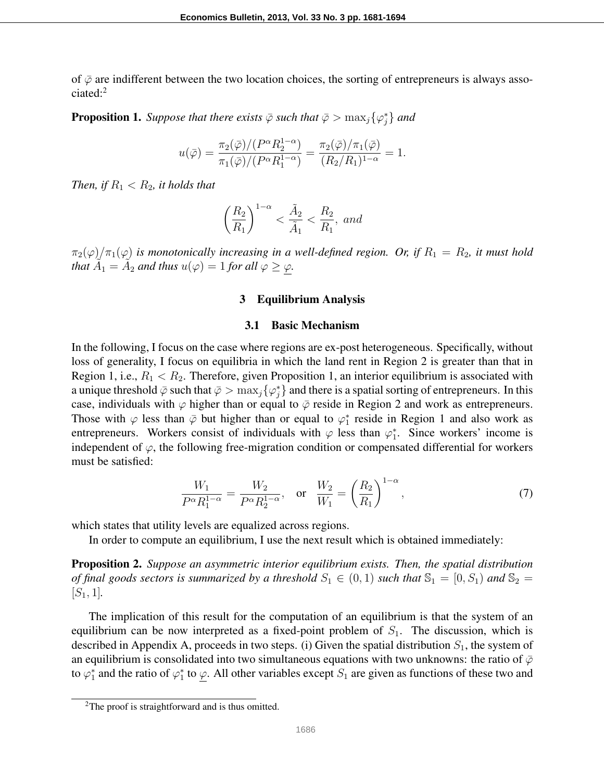of  $\bar{\varphi}$  are indifferent between the two location choices, the sorting of entrepreneurs is always associated:<sup>2</sup>

**Proposition 1.** Suppose that there exists  $\bar{\varphi}$  such that  $\bar{\varphi} > \max_j \{ \varphi_j^* \}$  and

$$
u(\bar{\varphi}) = \frac{\pi_2(\bar{\varphi})/(P^{\alpha}R_2^{1-\alpha})}{\pi_1(\bar{\varphi})/(P^{\alpha}R_1^{1-\alpha})} = \frac{\pi_2(\bar{\varphi})/\pi_1(\bar{\varphi})}{(R_2/R_1)^{1-\alpha}} = 1.
$$

*Then, if*  $R_1 < R_2$ *, it holds that* 

$$
\left(\frac{R_2}{R_1}\right)^{1-\alpha} < \frac{\tilde{A}_2}{\tilde{A}_1} < \frac{R_2}{R_1}, \text{ and}
$$

 $\pi_2(\varphi)/\pi_1(\varphi)$  *is monotonically increasing in a well-defined region. Or, if*  $R_1 = R_2$ *, it must hold that*  $\widetilde{A}_1 = \widetilde{A}_2$  *and thus*  $u(\varphi) = 1$  *for all*  $\varphi \ge \varphi$ *.* 

#### 3 Equilibrium Analysis

## 3.1 Basic Mechanism

In the following, I focus on the case where regions are ex-post heterogeneous. Specifically, without loss of generality, I focus on equilibria in which the land rent in Region 2 is greater than that in Region 1, i.e.,  $R_1 < R_2$ . Therefore, given Proposition 1, an interior equilibrium is associated with a unique threshold  $\bar{\varphi}$  such that  $\bar{\varphi} > \max_j \{\varphi_j^*\}$  and there is a spatial sorting of entrepreneurs. In this case, individuals with  $\varphi$  higher than or equal to  $\bar{\varphi}$  reside in Region 2 and work as entrepreneurs. Those with  $\varphi$  less than  $\bar{\varphi}$  but higher than or equal to  $\varphi_1^*$  reside in Region 1 and also work as entrepreneurs. Workers consist of individuals with  $\varphi$  less than  $\varphi_1^*$ . Since workers' income is independent of  $\varphi$ , the following free-migration condition or compensated differential for workers must be satisfied:

$$
\frac{W_1}{P^{\alpha}R_1^{1-\alpha}} = \frac{W_2}{P^{\alpha}R_2^{1-\alpha}}, \quad \text{or} \quad \frac{W_2}{W_1} = \left(\frac{R_2}{R_1}\right)^{1-\alpha},\tag{7}
$$

which states that utility levels are equalized across regions.

In order to compute an equilibrium, I use the next result which is obtained immediately:

Proposition 2. *Suppose an asymmetric interior equilibrium exists. Then, the spatial distribution of final goods sectors is summarized by a threshold*  $S_1 \in (0,1)$  *such that*  $\mathbb{S}_1 = [0, S_1)$  *and*  $\mathbb{S}_2 =$  $[S_1, 1]$ .

The implication of this result for the computation of an equilibrium is that the system of an equilibrium can be now interpreted as a fixed-point problem of  $S<sub>1</sub>$ . The discussion, which is described in Appendix A, proceeds in two steps. (i) Given the spatial distribution *S*1, the system of an equilibrium is consolidated into two simultaneous equations with two unknowns: the ratio of  $\bar{\varphi}$ to  $\varphi_1^*$  and the ratio of  $\varphi_1^*$  to  $\underline{\varphi}$ . All other variables except  $S_1$  are given as functions of these two and

<sup>&</sup>lt;sup>2</sup>The proof is straightforward and is thus omitted.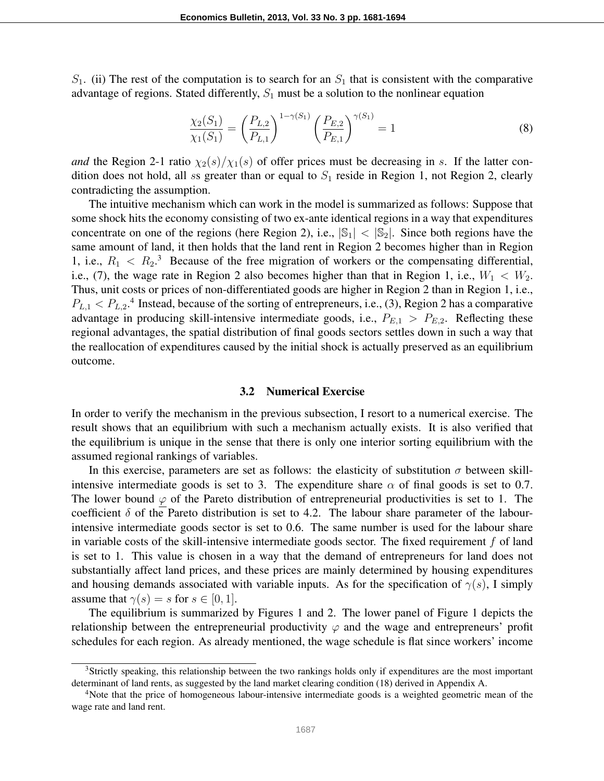*S*1. (ii) The rest of the computation is to search for an *S*<sup>1</sup> that is consistent with the comparative advantage of regions. Stated differently, *S*<sup>1</sup> must be a solution to the nonlinear equation

$$
\frac{\chi_2(S_1)}{\chi_1(S_1)} = \left(\frac{P_{L,2}}{P_{L,1}}\right)^{1-\gamma(S_1)} \left(\frac{P_{E,2}}{P_{E,1}}\right)^{\gamma(S_1)} = 1\tag{8}
$$

*and* the Region 2-1 ratio  $\chi_2(s)/\chi_1(s)$  of offer prices must be decreasing in *s*. If the latter condition does not hold, all *ss* greater than or equal to  $S_1$  reside in Region 1, not Region 2, clearly contradicting the assumption.

The intuitive mechanism which can work in the model is summarized as follows: Suppose that some shock hits the economy consisting of two ex-ante identical regions in a way that expenditures concentrate on one of the regions (here Region 2), i.e.,  $|\mathbb{S}_1| < |\mathbb{S}_2|$ . Since both regions have the same amount of land, it then holds that the land rent in Region 2 becomes higher than in Region 1, i.e.,  $R_1 < R_2$ <sup>3</sup> Because of the free migration of workers or the compensating differential, i.e., (7), the wage rate in Region 2 also becomes higher than that in Region 1, i.e.,  $W_1 < W_2$ . Thus, unit costs or prices of non-differentiated goods are higher in Region 2 than in Region 1, i.e.,  $P_{L,1} < P_{L,2}$ <sup>4</sup>. Instead, because of the sorting of entrepreneurs, i.e., (3), Region 2 has a comparative advantage in producing skill-intensive intermediate goods, i.e.,  $P_{E,1} > P_{E,2}$ . Reflecting these regional advantages, the spatial distribution of final goods sectors settles down in such a way that the reallocation of expenditures caused by the initial shock is actually preserved as an equilibrium outcome.

### 3.2 Numerical Exercise

In order to verify the mechanism in the previous subsection, I resort to a numerical exercise. The result shows that an equilibrium with such a mechanism actually exists. It is also verified that the equilibrium is unique in the sense that there is only one interior sorting equilibrium with the assumed regional rankings of variables.

In this exercise, parameters are set as follows: the elasticity of substitution  $\sigma$  between skillintensive intermediate goods is set to 3. The expenditure share  $\alpha$  of final goods is set to 0.7. The lower bound  $\varphi$  of the Pareto distribution of entrepreneurial productivities is set to 1. The coefficient  $\delta$  of the Pareto distribution is set to 4.2. The labour share parameter of the labourintensive intermediate goods sector is set to 0.6. The same number is used for the labour share in variable costs of the skill-intensive intermediate goods sector. The fixed requirement *f* of land is set to 1. This value is chosen in a way that the demand of entrepreneurs for land does not substantially affect land prices, and these prices are mainly determined by housing expenditures and housing demands associated with variable inputs. As for the specification of  $\gamma(s)$ , I simply assume that  $\gamma(s) = s$  for  $s \in [0, 1]$ .

The equilibrium is summarized by Figures 1 and 2. The lower panel of Figure 1 depicts the relationship between the entrepreneurial productivity  $\varphi$  and the wage and entrepreneurs' profit schedules for each region. As already mentioned, the wage schedule is flat since workers' income

<sup>&</sup>lt;sup>3</sup>Strictly speaking, this relationship between the two rankings holds only if expenditures are the most important determinant of land rents, as suggested by the land market clearing condition (18) derived in Appendix A.

<sup>&</sup>lt;sup>4</sup>Note that the price of homogeneous labour-intensive intermediate goods is a weighted geometric mean of the wage rate and land rent.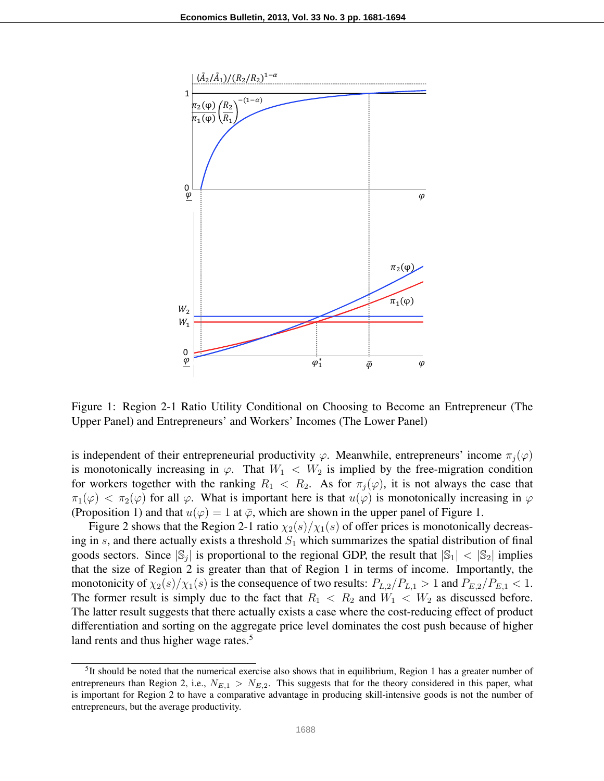

Figure 1: Region 2-1 Ratio Utility Conditional on Choosing to Become an Entrepreneur (The Upper Panel) and Entrepreneurs' and Workers' Incomes (The Lower Panel)

is independent of their entrepreneurial productivity  $\varphi$ . Meanwhile, entrepreneurs' income  $\pi_i(\varphi)$ is monotonically increasing in  $\varphi$ . That  $W_1 \, < \, W_2$  is implied by the free-migration condition for workers together with the ranking  $R_1 < R_2$ . As for  $\pi_i(\varphi)$ , it is not always the case that  $\pi_1(\varphi) < \pi_2(\varphi)$  for all  $\varphi$ . What is important here is that  $u(\varphi)$  is monotonically increasing in  $\varphi$ (Proposition 1) and that  $u(\varphi) = 1$  at  $\overline{\varphi}$ , which are shown in the upper panel of Figure 1.

Figure 2 shows that the Region 2-1 ratio  $\chi_2(s)/\chi_1(s)$  of offer prices is monotonically decreasing in *s*, and there actually exists a threshold  $S_1$  which summarizes the spatial distribution of final goods sectors. Since  $|\mathbb{S}_j|$  is proportional to the regional GDP, the result that  $|\mathbb{S}_1| < |\mathbb{S}_2|$  implies that the size of Region 2 is greater than that of Region 1 in terms of income. Importantly, the monotonicity of  $\chi_2(s)/\chi_1(s)$  is the consequence of two results:  $P_{L,2}/P_{L,1} > 1$  and  $P_{E,2}/P_{E,1} < 1$ . The former result is simply due to the fact that  $R_1 < R_2$  and  $W_1 < W_2$  as discussed before. The latter result suggests that there actually exists a case where the cost-reducing effect of product differentiation and sorting on the aggregate price level dominates the cost push because of higher land rents and thus higher wage rates.<sup>5</sup>

<sup>&</sup>lt;sup>5</sup>It should be noted that the numerical exercise also shows that in equilibrium, Region 1 has a greater number of entrepreneurs than Region 2, i.e.,  $N_{E,1} > N_{E,2}$ . This suggests that for the theory considered in this paper, what is important for Region 2 to have a comparative advantage in producing skill-intensive goods is not the number of entrepreneurs, but the average productivity.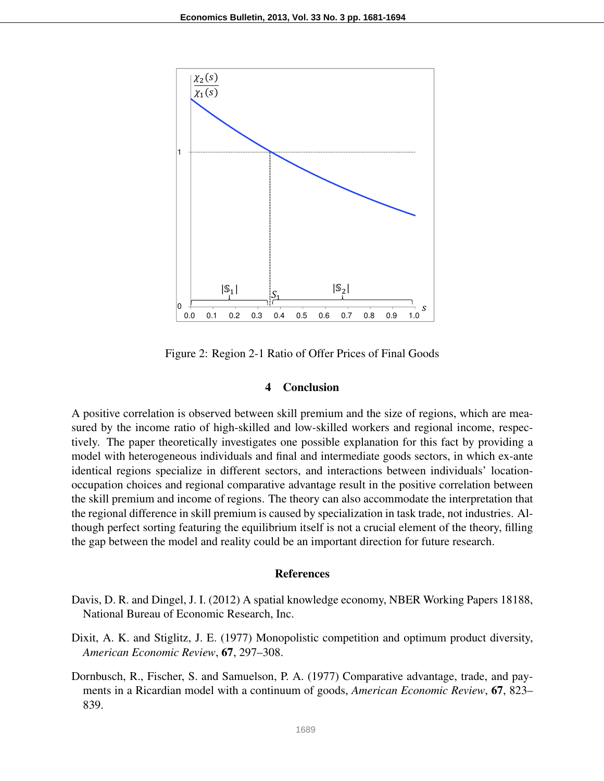

Figure 2: Region 2-1 Ratio of Offer Prices of Final Goods

# 4 Conclusion

A positive correlation is observed between skill premium and the size of regions, which are measured by the income ratio of high-skilled and low-skilled workers and regional income, respectively. The paper theoretically investigates one possible explanation for this fact by providing a model with heterogeneous individuals and final and intermediate goods sectors, in which ex-ante identical regions specialize in different sectors, and interactions between individuals' locationoccupation choices and regional comparative advantage result in the positive correlation between the skill premium and income of regions. The theory can also accommodate the interpretation that the regional difference in skill premium is caused by specialization in task trade, not industries. Although perfect sorting featuring the equilibrium itself is not a crucial element of the theory, filling the gap between the model and reality could be an important direction for future research.

### References

- Davis, D. R. and Dingel, J. I. (2012) A spatial knowledge economy, NBER Working Papers 18188, National Bureau of Economic Research, Inc.
- Dixit, A. K. and Stiglitz, J. E. (1977) Monopolistic competition and optimum product diversity, *American Economic Review*, 67, 297–308.
- Dornbusch, R., Fischer, S. and Samuelson, P. A. (1977) Comparative advantage, trade, and payments in a Ricardian model with a continuum of goods, *American Economic Review*, 67, 823– 839.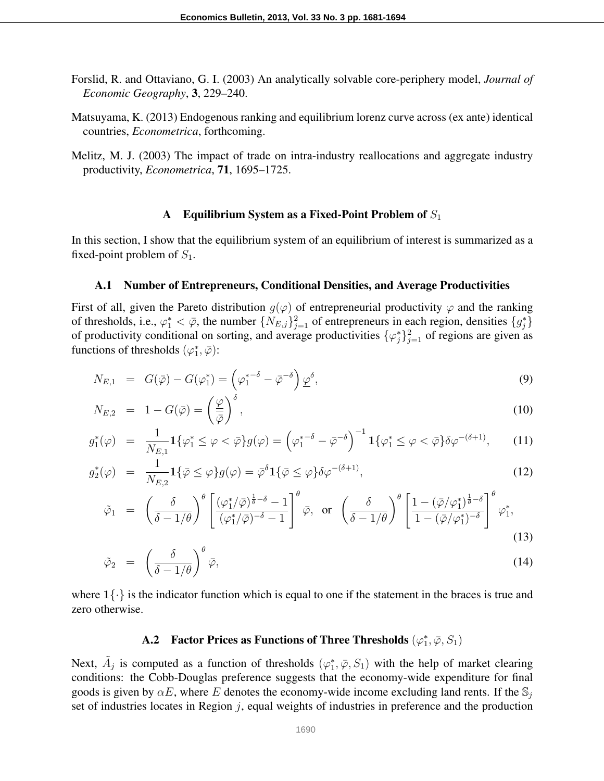- Forslid, R. and Ottaviano, G. I. (2003) An analytically solvable core-periphery model, *Journal of Economic Geography*, 3, 229–240.
- Matsuyama, K. (2013) Endogenous ranking and equilibrium lorenz curve across (ex ante) identical countries, *Econometrica*, forthcoming.
- Melitz, M. J. (2003) The impact of trade on intra-industry reallocations and aggregate industry productivity, *Econometrica*, 71, 1695–1725.

### A Equilibrium System as a Fixed-Point Problem of *S*<sup>1</sup>

In this section, I show that the equilibrium system of an equilibrium of interest is summarized as a fixed-point problem of *S*1.

#### A.1 Number of Entrepreneurs, Conditional Densities, and Average Productivities

First of all, given the Pareto distribution  $g(\varphi)$  of entrepreneurial productivity  $\varphi$  and the ranking of thresholds, i.e.,  $\varphi_1^* < \bar{\varphi}$ , the number  $\{N_{E,j}\}_{j=1}^2$  of entrepreneurs in each region, densities  $\{g_j^*\}$ of productivity conditional on sorting, and average productivities  $\{\varphi_j^*\}_{j=1}^2$  of regions are given as functions of thresholds  $(\varphi_1^*, \bar{\varphi})$ :

$$
N_{E,1} = G(\bar{\varphi}) - G(\varphi_1^*) = \left(\varphi_1^{*-\delta} - \bar{\varphi}^{-\delta}\right) \underline{\varphi}^{\delta},\tag{9}
$$

$$
N_{E,2} = 1 - G(\bar{\varphi}) = \left(\frac{\varphi}{\bar{\varphi}}\right)^{\delta},\tag{10}
$$

$$
g_1^*(\varphi) = \frac{1}{N_{E,1}} \mathbf{1}\{\varphi_1^* \leq \varphi < \bar{\varphi}\} g(\varphi) = \left(\varphi_1^{*-\delta} - \bar{\varphi}^{-\delta}\right)^{-1} \mathbf{1}\{\varphi_1^* \leq \varphi < \bar{\varphi}\} \delta \varphi^{-(\delta+1)},\tag{11}
$$

$$
g_2^*(\varphi) = \frac{1}{N_{E,2}} \mathbf{1}\{\bar{\varphi} \le \varphi\} g(\varphi) = \bar{\varphi}^{\delta} \mathbf{1}\{\bar{\varphi} \le \varphi\} \delta \varphi^{-(\delta+1)},\tag{12}
$$

$$
\tilde{\varphi}_1 = \left(\frac{\delta}{\delta - 1/\theta}\right)^{\theta} \left[ \frac{(\varphi_1^*/\bar{\varphi})^{\frac{1}{\theta} - \delta} - 1}{(\varphi_1^*/\bar{\varphi})^{-\delta} - 1} \right]^{\theta} \bar{\varphi}, \text{ or } \left(\frac{\delta}{\delta - 1/\theta}\right)^{\theta} \left[ \frac{1 - (\bar{\varphi}/\varphi_1^*)^{\frac{1}{\theta} - \delta}}{1 - (\bar{\varphi}/\varphi_1^*)^{-\delta}} \right]^{\theta} \varphi_1^*,
$$
\n(13)

$$
\tilde{\varphi}_2 = \left(\frac{\delta}{\delta - 1/\theta}\right)^{\theta} \bar{\varphi},\tag{14}
$$

where  $1\{\cdot\}$  is the indicator function which is equal to one if the statement in the braces is true and zero otherwise.

# **A.2** Factor Prices as Functions of Three Thresholds  $(\varphi_1^*, \bar{\varphi}, S_1)$

Next,  $\tilde{A}_j$  is computed as a function of thresholds  $(\varphi_1^*, \overline{\varphi}, S_1)$  with the help of market clearing conditions: the Cobb-Douglas preference suggests that the economy-wide expenditure for final goods is given by  $\alpha E$ , where *E* denotes the economy-wide income excluding land rents. If the  $\mathbb{S}_i$ set of industries locates in Region *j*, equal weights of industries in preference and the production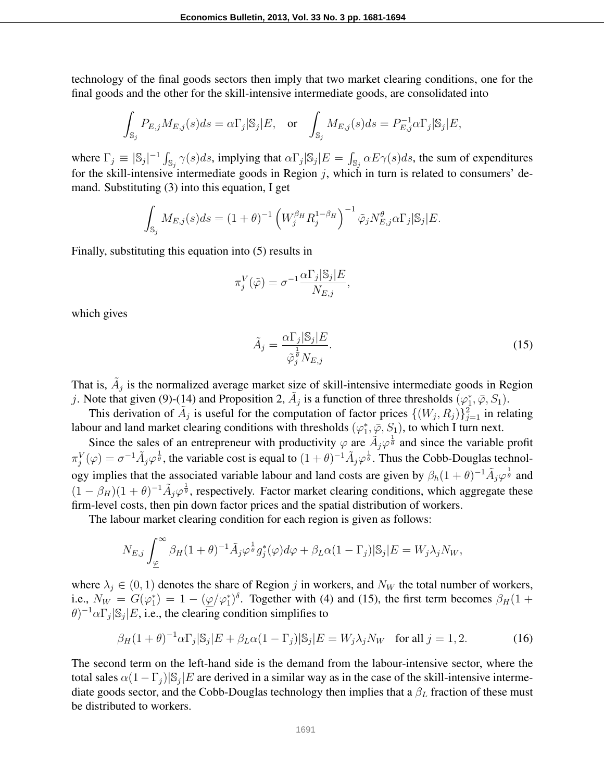technology of the final goods sectors then imply that two market clearing conditions, one for the final goods and the other for the skill-intensive intermediate goods, are consolidated into

$$
\int_{\mathbb{S}_j} P_{E,j} M_{E,j}(s) ds = \alpha \Gamma_j |\mathbb{S}_j| E, \quad \text{or} \quad \int_{\mathbb{S}_j} M_{E,j}(s) ds = P_{E,j}^{-1} \alpha \Gamma_j |\mathbb{S}_j| E,
$$

where  $\Gamma_j \equiv |\mathbb{S}_j|^{-1} \int_{\mathbb{S}_j} \gamma(s) ds$ , implying that  $\alpha \Gamma_j |\mathbb{S}_j| E = \int_{\mathbb{S}_j} \alpha E \gamma(s) ds$ , the sum of expenditures for the skill-intensive intermediate goods in Region *j*, which in turn is related to consumers' demand. Substituting (3) into this equation, I get

$$
\int_{\mathbb{S}_j} M_{E,j}(s) ds = (1+\theta)^{-1} \left( W_j^{\beta_H} R_j^{1-\beta_H} \right)^{-1} \tilde{\varphi}_j N_{E,j}^{\theta} \alpha \Gamma_j |\mathbb{S}_j| E.
$$

Finally, substituting this equation into (5) results in

$$
\pi_j^V(\tilde{\varphi}) = \sigma^{-1} \frac{\alpha \Gamma_j |S_j| E}{N_{E,j}},
$$

which gives

$$
\tilde{A}_j = \frac{\alpha \Gamma_j | \mathbb{S}_j | E}{\tilde{\varphi}_j^{\frac{1}{\theta}} N_{E,j}}.
$$
\n(15)

That is,  $\tilde{A}_j$  is the normalized average market size of skill-intensive intermediate goods in Region *j*. Note that given (9)-(14) and Proposition 2,  $\tilde{A}_j$  is a function of three thresholds  $(\varphi_1^*, \bar{\varphi}, S_1)$ .

This derivation of  $\tilde{A}_j$  is useful for the computation of factor prices  $\{(W_j, R_j)\}_{j=1}^2$  in relating labour and land market clearing conditions with thresholds  $(\varphi_1^*, \overline{\varphi}, S_1)$ , to which I turn next.

Since the sales of an entrepreneur with productivity  $\varphi$  are  $\tilde{A}_j \varphi^{\frac{1}{\theta}}$  and since the variable profit  $\pi_j^V(\varphi) = \sigma^{-1} \tilde{A}_j \varphi^{\frac{1}{\theta}}$ , the variable cost is equal to  $(1+\theta)^{-1} \tilde{A}_j \varphi^{\frac{1}{\theta}}$ . Thus the Cobb-Douglas technology implies that the associated variable labour and land costs are given by  $\beta_h(1+\theta)^{-1}\tilde{A}_j\varphi^{\frac{1}{\theta}}$  and  $(1 - \beta_H)(1 + \theta)^{-1} \tilde{A}_j \varphi^{\frac{1}{\theta}}$ , respectively. Factor market clearing conditions, which aggregate these firm-level costs, then pin down factor prices and the spatial distribution of workers.

The labour market clearing condition for each region is given as follows:

$$
N_{E,j} \int_{\underline{\varphi}}^{\infty} \beta_H (1+\theta)^{-1} \tilde{A}_j \varphi^{\frac{1}{\theta}} g_j^*(\varphi) d\varphi + \beta_L \alpha (1-\Gamma_j) |S_j| E = W_j \lambda_j N_W,
$$

where  $\lambda_j \in (0,1)$  denotes the share of Region *j* in workers, and  $N_W$  the total number of workers, i.e.,  $N_W = G(\varphi_1^*) = 1 - (\varphi/\varphi_1^*)^{\delta}$ . Together with (4) and (15), the first term becomes  $\beta_H(1 +$  $\theta$ <sup> $)$ -1</sup> $\alpha$ Γ<sub>*j*</sub>|S<sub>*j*</sub>|*E*, i.e., the clearing condition simplifies to

$$
\beta_H (1+\theta)^{-1} \alpha \Gamma_j |\mathbb{S}_j| E + \beta_L \alpha (1-\Gamma_j) |\mathbb{S}_j| E = W_j \lambda_j N_W \quad \text{for all } j = 1, 2. \tag{16}
$$

The second term on the left-hand side is the demand from the labour-intensive sector, where the total sales  $\alpha(1-\Gamma_j)|S_j|E$  are derived in a similar way as in the case of the skill-intensive intermediate goods sector, and the Cobb-Douglas technology then implies that a *β<sup>L</sup>* fraction of these must be distributed to workers.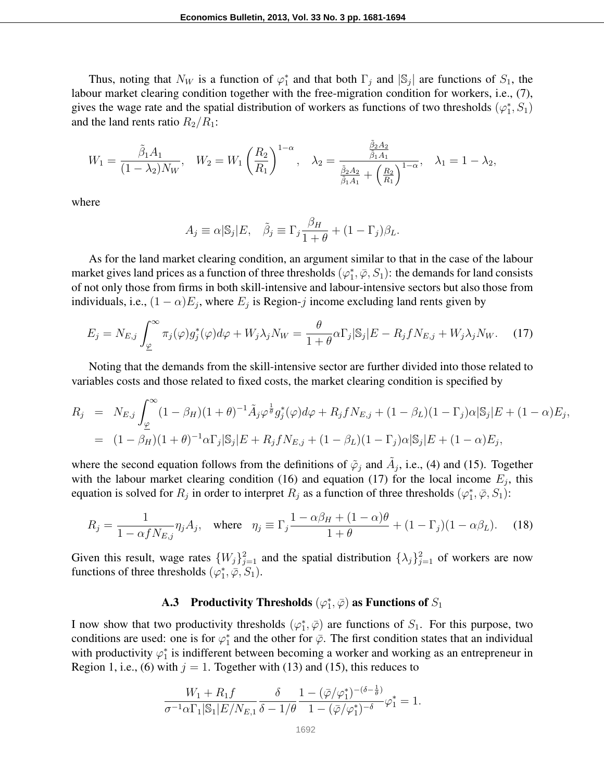Thus, noting that  $N_W$  is a function of  $\varphi_1^*$  and that both  $\Gamma_j$  and  $|S_j|$  are functions of  $S_1$ , the labour market clearing condition together with the free-migration condition for workers, i.e., (7), gives the wage rate and the spatial distribution of workers as functions of two thresholds  $(\varphi_1^*, S_1)$ and the land rents ratio  $R_2/R_1$ :

$$
W_1 = \frac{\tilde{\beta}_1 A_1}{(1 - \lambda_2) N_W}, \quad W_2 = W_1 \left(\frac{R_2}{R_1}\right)^{1 - \alpha}, \quad \lambda_2 = \frac{\frac{\tilde{\beta}_2 A_2}{\tilde{\beta}_1 A_1}}{\frac{\tilde{\beta}_2 A_2}{\tilde{\beta}_1 A_1} + \left(\frac{R_2}{R_1}\right)^{1 - \alpha}}, \quad \lambda_1 = 1 - \lambda_2,
$$

where

$$
A_j \equiv \alpha | \mathbb{S}_j | E, \quad \tilde{\beta}_j \equiv \Gamma_j \frac{\beta_H}{1+\theta} + (1-\Gamma_j)\beta_L.
$$

As for the land market clearing condition, an argument similar to that in the case of the labour market gives land prices as a function of three thresholds  $(\varphi_1^*, \bar{\varphi}, S_1)$ : the demands for land consists of not only those from firms in both skill-intensive and labour-intensive sectors but also those from individuals, i.e.,  $(1 - \alpha)E_j$ , where  $E_j$  is Region-*j* income excluding land rents given by

$$
E_j = N_{E,j} \int_{\underline{\varphi}}^{\infty} \pi_j(\varphi) g_j^*(\varphi) d\varphi + W_j \lambda_j N_W = \frac{\theta}{1 + \theta} \alpha \Gamma_j |\mathbb{S}_j| E - R_j f N_{E,j} + W_j \lambda_j N_W. \tag{17}
$$

Noting that the demands from the skill-intensive sector are further divided into those related to variables costs and those related to fixed costs, the market clearing condition is specified by

$$
R_j = N_{E,j} \int_{\underline{\varphi}}^{\infty} (1 - \beta_H)(1 + \theta)^{-1} \tilde{A}_j \varphi^{\frac{1}{\theta}} g_j^*(\varphi) d\varphi + R_j f N_{E,j} + (1 - \beta_L)(1 - \Gamma_j) \alpha |S_j| E + (1 - \alpha) E_j,
$$
  
=  $(1 - \beta_H)(1 + \theta)^{-1} \alpha \Gamma_j |S_j| E + R_j f N_{E,j} + (1 - \beta_L)(1 - \Gamma_j) \alpha |S_j| E + (1 - \alpha) E_j,$ 

where the second equation follows from the definitions of  $\tilde{\varphi}_j$  and  $\tilde{A}_j$ , i.e., (4) and (15). Together with the labour market clearing condition (16) and equation (17) for the local income  $E_j$ , this equation is solved for  $R_j$  in order to interpret  $R_j$  as a function of three thresholds  $(\varphi_1^*, \bar{\varphi}, S_1)$ :

$$
R_j = \frac{1}{1 - \alpha f N_{E,j}} \eta_j A_j, \quad \text{where} \quad \eta_j \equiv \Gamma_j \frac{1 - \alpha \beta_H + (1 - \alpha)\theta}{1 + \theta} + (1 - \Gamma_j)(1 - \alpha \beta_L). \tag{18}
$$

Given this result, wage rates  $\{W_j\}_{j=1}^2$  and the spatial distribution  $\{\lambda_j\}_{j=1}^2$  of workers are now functions of three thresholds  $(\varphi_1^*, \overline{\varphi}, S_1)$ .

# **A.3** Productivity Thresholds  $(\varphi_1^*, \bar{\varphi})$  as Functions of  $S_1$

I now show that two productivity thresholds  $(\varphi_1^*, \bar{\varphi})$  are functions of  $S_1$ . For this purpose, two conditions are used: one is for  $\varphi_1^*$  and the other for  $\bar{\varphi}$ . The first condition states that an individual with productivity  $\varphi_1^*$  is indifferent between becoming a worker and working as an entrepreneur in Region 1, i.e., (6) with  $j = 1$ . Together with (13) and (15), this reduces to

$$
\frac{W_1 + R_1 f}{\sigma^{-1} \alpha \Gamma_1 |\mathbb{S}_1| E / N_{E,1}} \frac{\delta}{\delta - 1/\theta} \frac{1 - (\bar{\varphi}/\varphi_1^*)^{-(\delta - \frac{1}{\theta})}}{1 - (\bar{\varphi}/\varphi_1^*)^{-\delta}} \varphi_1^* = 1.
$$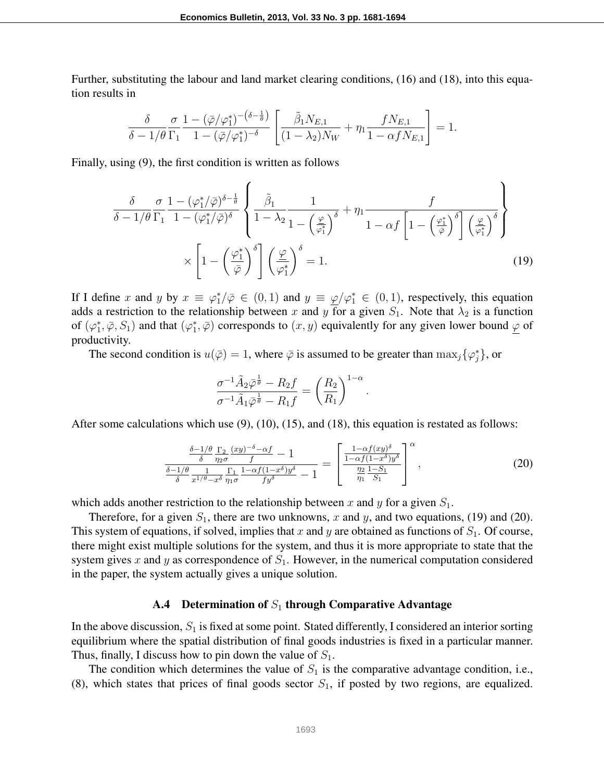Further, substituting the labour and land market clearing conditions, (16) and (18), into this equation results in

$$
\frac{\delta}{\delta - 1/\theta} \frac{\sigma}{\Gamma_1} \frac{1 - (\bar{\varphi}/\varphi_1^*)^{-(\delta - \frac{1}{\theta})}}{1 - (\bar{\varphi}/\varphi_1^*)^{-\delta}} \left[ \frac{\tilde{\beta}_1 N_{E,1}}{(1 - \lambda_2) N_W} + \eta_1 \frac{f N_{E,1}}{1 - \alpha f N_{E,1}} \right] = 1.
$$

Finally, using (9), the first condition is written as follows

$$
\frac{\delta}{\delta - 1/\theta} \frac{\sigma}{\Gamma_1} \frac{1 - (\varphi_1^*/\overline{\varphi})^{\delta - \frac{1}{\theta}}}{1 - (\varphi_1^*/\overline{\varphi})^{\delta}} \left\{ \frac{\tilde{\beta}_1}{1 - \lambda_2} \frac{1}{1 - (\frac{\varphi}{\varphi_1^*})^{\delta}} + \eta_1 \frac{f}{1 - \alpha f \left[ 1 - (\frac{\varphi_1^*}{\overline{\varphi}})^{\delta} \right] (\frac{\varphi}{\varphi_1^*})^{\delta}} \right\}
$$
\n
$$
\times \left[ 1 - (\frac{\varphi_1^*}{\overline{\varphi}})^{\delta} \right] (\frac{\varphi}{\varphi_1^*})^{\delta} = 1.
$$
\n(19)

If I define *x* and *y* by  $x \equiv \varphi_1^*/\overline{\varphi} \in (0,1)$  and  $y \equiv \underline{\varphi}/\varphi_1^* \in (0,1)$ , respectively, this equation adds a restriction to the relationship between *x* and *y* for a given  $S_1$ . Note that  $\lambda_2$  is a function of  $(\varphi_1^*, \bar{\varphi}, S_1)$  and that  $(\varphi_1^*, \bar{\varphi})$  corresponds to  $(x, y)$  equivalently for any given lower bound  $\underline{\varphi}$  of productivity.

The second condition is  $u(\bar{\varphi}) = 1$ , where  $\bar{\varphi}$  is assumed to be greater than  $\max_j {\{\varphi_j^*\}}$ , or

$$
\frac{\sigma^{-1}\tilde{A}_2\bar{\varphi}^{\frac{1}{\theta}} - R_2f}{\sigma^{-1}\tilde{A}_1\bar{\varphi}^{\frac{1}{\theta}} - R_1f} = \left(\frac{R_2}{R_1}\right)^{1-\alpha}
$$

After some calculations which use  $(9)$ ,  $(10)$ ,  $(15)$ , and  $(18)$ , this equation is restated as follows:

$$
\frac{\frac{\delta - 1/\theta}{\delta} \frac{\Gamma_2}{\eta_2 \sigma} \frac{(xy)^{-\delta} - \alpha f}{f} - 1}{\frac{\delta - 1/\theta}{\delta} \frac{1}{x^{1/\theta} - x^{\delta}} \frac{\Gamma_1}{\eta_1 \sigma} \frac{1 - \alpha f(1 - x^{\delta}) y^{\delta}}{f y^{\delta}} - 1} = \left[ \frac{\frac{1 - \alpha f(xy)^{\delta}}{1 - \alpha f(1 - x^{\delta}) y^{\delta}}}{\frac{\eta_2}{\eta_1} \frac{1 - S_1}{S_1}} \right]^{\alpha},\tag{20}
$$

*.*

which adds another restriction to the relationship between *x* and *y* for a given  $S_1$ .

Therefore, for a given  $S_1$ , there are two unknowns, x and y, and two equations, (19) and (20). This system of equations, if solved, implies that  $x$  and  $y$  are obtained as functions of  $S_1$ . Of course, there might exist multiple solutions for the system, and thus it is more appropriate to state that the system gives x and y as correspondence of  $S<sub>1</sub>$ . However, in the numerical computation considered in the paper, the system actually gives a unique solution.

# A.4 Determination of  $S_1$  through Comparative Advantage

In the above discussion,  $S_1$  is fixed at some point. Stated differently, I considered an interior sorting equilibrium where the spatial distribution of final goods industries is fixed in a particular manner. Thus, finally, I discuss how to pin down the value of *S*1.

The condition which determines the value of  $S_1$  is the comparative advantage condition, i.e., (8), which states that prices of final goods sector  $S_1$ , if posted by two regions, are equalized.